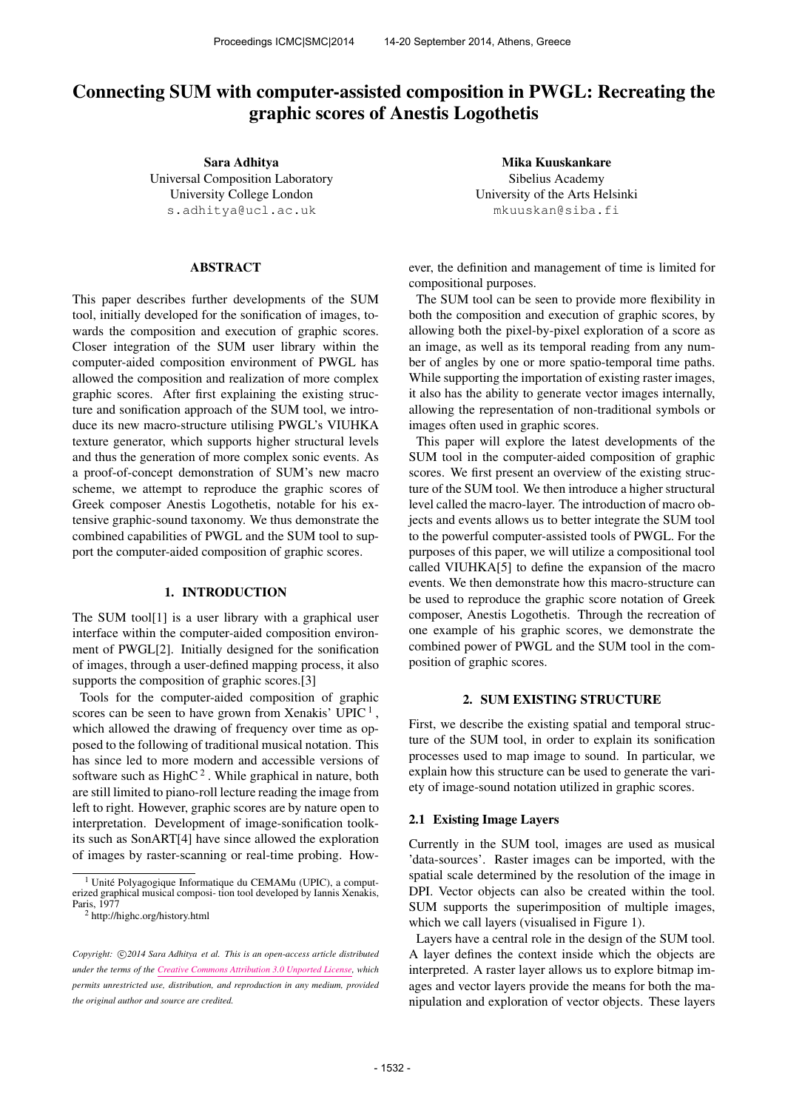# Connecting SUM with computer-assisted composition in PWGL: Recreating the graphic scores of Anestis Logothetis

Sara Adhitya Universal Composition Laboratory University College London [s.adhitya@ucl.ac.uk](mailto:s.adhitya@ucl.ac.uk)

## ABSTRACT

This paper describes further developments of the SUM tool, initially developed for the sonification of images, towards the composition and execution of graphic scores. Closer integration of the SUM user library within the computer-aided composition environment of PWGL has allowed the composition and realization of more complex graphic scores. After first explaining the existing structure and sonification approach of the SUM tool, we introduce its new macro-structure utilising PWGL's VIUHKA texture generator, which supports higher structural levels and thus the generation of more complex sonic events. As a proof-of-concept demonstration of SUM's new macro scheme, we attempt to reproduce the graphic scores of Greek composer Anestis Logothetis, notable for his extensive graphic-sound taxonomy. We thus demonstrate the combined capabilities of PWGL and the SUM tool to support the computer-aided composition of graphic scores.

## 1. INTRODUCTION

The SUM tool<sup>[1]</sup> is a user library with a graphical user interface within the computer-aided composition environment of PWGL[2]. Initially designed for the sonification of images, through a user-defined mapping process, it also supports the composition of graphic scores.[3]

Tools for the computer-aided composition of graphic scores can be seen to have grown from Xenakis' UPIC<sup>1</sup>, which allowed the drawing of frequency over time as opposed to the following of traditional musical notation. This has since led to more modern and accessible versions of software such as High $C<sup>2</sup>$ . While graphical in nature, both are still limited to piano-roll lecture reading the image from left to right. However, graphic scores are by nature open to interpretation. Development of image-sonification toolkits such as SonART[4] have since allowed the exploration of images by raster-scanning or real-time probing. How-

Mika Kuuskankare Sibelius Academy University of the Arts Helsinki [mkuuskan@siba.fi](mailto:mkuuskan@siba.fi)

ever, the definition and management of time is limited for compositional purposes.

The SUM tool can be seen to provide more flexibility in both the composition and execution of graphic scores, by allowing both the pixel-by-pixel exploration of a score as an image, as well as its temporal reading from any number of angles by one or more spatio-temporal time paths. While supporting the importation of existing raster images, it also has the ability to generate vector images internally, allowing the representation of non-traditional symbols or images often used in graphic scores.

This paper will explore the latest developments of the SUM tool in the computer-aided composition of graphic scores. We first present an overview of the existing structure of the SUM tool. We then introduce a higher structural level called the macro-layer. The introduction of macro objects and events allows us to better integrate the SUM tool to the powerful computer-assisted tools of PWGL. For the purposes of this paper, we will utilize a compositional tool called VIUHKA[5] to define the expansion of the macro events. We then demonstrate how this macro-structure can be used to reproduce the graphic score notation of Greek composer, Anestis Logothetis. Through the recreation of one example of his graphic scores, we demonstrate the combined power of PWGL and the SUM tool in the composition of graphic scores.

## 2. SUM EXISTING STRUCTURE

First, we describe the existing spatial and temporal structure of the SUM tool, in order to explain its sonification processes used to map image to sound. In particular, we explain how this structure can be used to generate the variety of image-sound notation utilized in graphic scores.

#### 2.1 Existing Image Layers

Currently in the SUM tool, images are used as musical 'data-sources'. Raster images can be imported, with the spatial scale determined by the resolution of the image in DPI. Vector objects can also be created within the tool. SUM supports the superimposition of multiple images, which we call layers (visualised in Figure 1).

Layers have a central role in the design of the SUM tool. A layer defines the context inside which the objects are interpreted. A raster layer allows us to explore bitmap images and vector layers provide the means for both the manipulation and exploration of vector objects. These layers

<sup>&</sup>lt;sup>1</sup> Unité Polyagogique Informatique du CEMAMu (UPIC), a comput-<br>erized graphical musical composi- tion tool developed by Iannis Xenakis, Paris, 1977

<sup>2</sup> http://highc.org/history.html

Copyright:  $\bigcirc$ 2014 Sara Adhitya et al. This is an open-access article distributed *under the terms of the [Creative Commons Attribution 3.0 Unported License,](http://creativecommons.org/licenses/by/3.0/) which permits unrestricted use, distribution, and reproduction in any medium, provided the original author and source are credited.*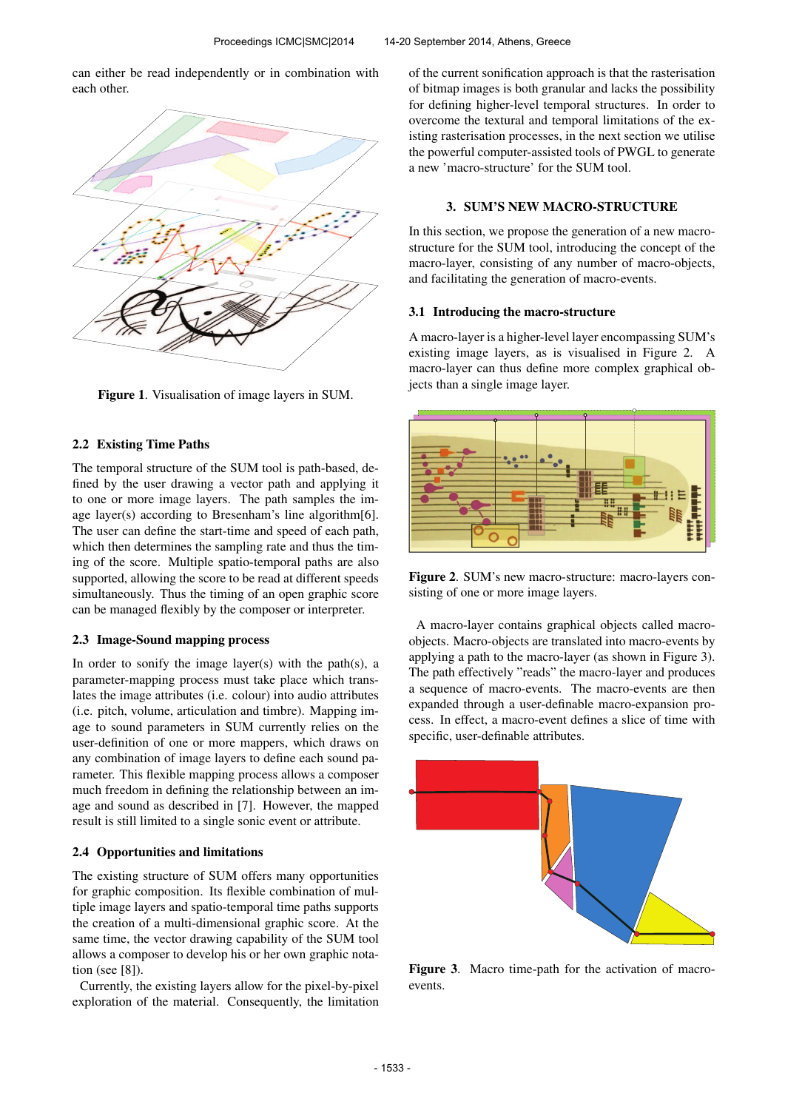can either be read independently or in combination with each other.



Figure 1. Visualisation of image layers in SUM.

## 2.2 Existing Time Paths

The temporal structure of the SUM tool is path-based, defined by the user drawing a vector path and applying it to one or more image layers. The path samples the image layer(s) according to Bresenham's line algorithm[6]. The user can define the start-time and speed of each path, which then determines the sampling rate and thus the timing of the score. Multiple spatio-temporal paths are also supported, allowing the score to be read at different speeds simultaneously. Thus the timing of an open graphic score can be managed flexibly by the composer or interpreter.

## 2.3 Image-Sound mapping process

In order to sonify the image layer(s) with the path(s), a parameter-mapping process must take place which translates the image attributes (i.e. colour) into audio attributes (i.e. pitch, volume, articulation and timbre). Mapping image to sound parameters in SUM currently relies on the user-definition of one or more mappers, which draws on any combination of image layers to define each sound parameter. This flexible mapping process allows a composer much freedom in defining the relationship between an image and sound as described in [7]. However, the mapped result is still limited to a single sonic event or attribute.

#### 2.4 Opportunities and limitations

The existing structure of SUM offers many opportunities for graphic composition. Its flexible combination of multiple image layers and spatio-temporal time paths supports the creation of a multi-dimensional graphic score. At the same time, the vector drawing capability of the SUM tool allows a composer to develop his or her own graphic notation (see [8]).

Currently, the existing layers allow for the pixel-by-pixel exploration of the material. Consequently, the limitation of the current sonification approach is that the rasterisation of bitmap images is both granular and lacks the possibility for defining higher-level temporal structures. In order to overcome the textural and temporal limitations of the existing rasterisation processes, in the next section we utilise the powerful computer-assisted tools of PWGL to generate a new 'macro-structure' for the SUM tool.

## 3. SUM'S NEW MACRO-STRUCTURE

In this section, we propose the generation of a new macrostructure for the SUM tool, introducing the concept of the macro-layer, consisting of any number of macro-objects, and facilitating the generation of macro-events.

## 3.1 Introducing the macro-structure

A macro-layer is a higher-level layer encompassing SUM's existing image layers, as is visualised in Figure 2. A macro-layer can thus define more complex graphical objects than a single image layer.



Figure 2. SUM's new macro-structure: macro-layers consisting of one or more image layers.

A macro-layer contains graphical objects called macroobjects. Macro-objects are translated into macro-events by applying a path to the macro-layer (as shown in Figure 3). The path effectively "reads" the macro-layer and produces a sequence of macro-events. The macro-events are then expanded through a user-definable macro-expansion process. In effect, a macro-event defines a slice of time with specific, user-definable attributes.



Figure 3. Macro time-path for the activation of macroevents.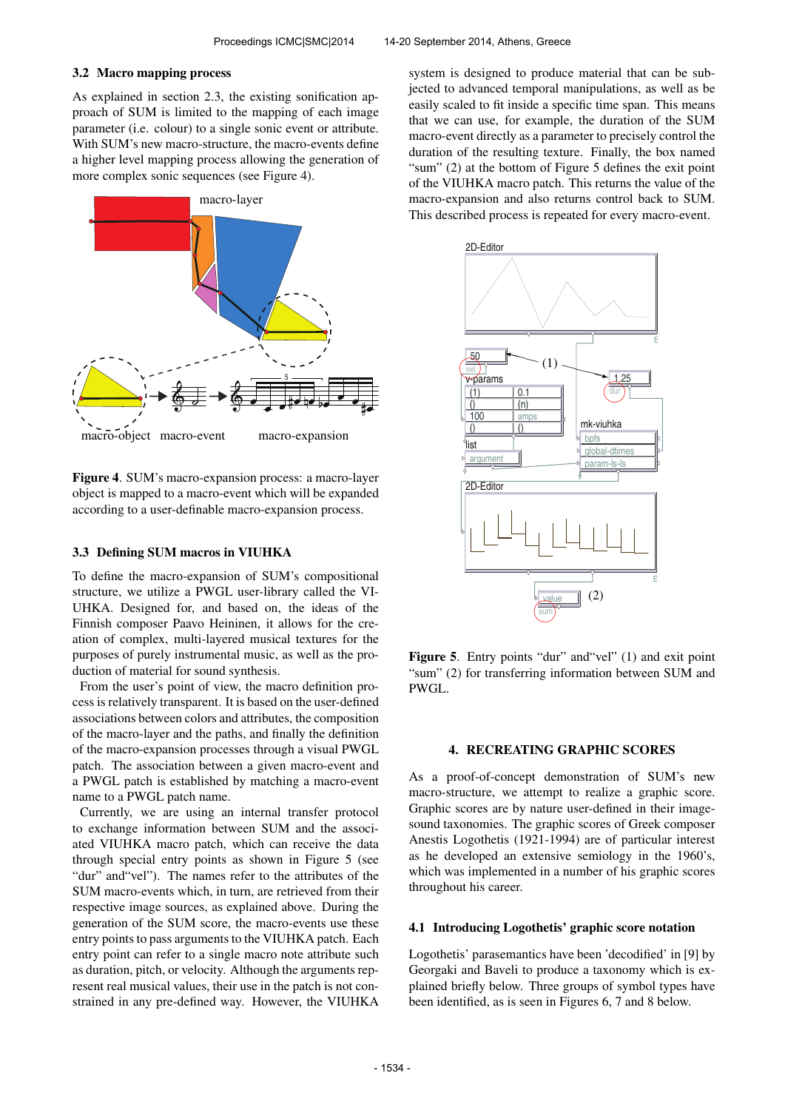## 3.2 Macro mapping process

As explained in section 2.3, the existing sonification approach of SUM is limited to the mapping of each image parameter (i.e. colour) to a single sonic event or attribute. With SUM's new macro-structure, the macro-events define a higher level mapping process allowing the generation of more complex sonic sequences (see Figure 4).



Figure 4. SUM's macro-expansion process: a macro-layer object is mapped to a macro-event which will be expanded according to a user-definable macro-expansion process.

## 3.3 Defining SUM macros in VIUHKA

To define the macro-expansion of SUM's compositional structure, we utilize a PWGL user-library called the VI-UHKA. Designed for, and based on, the ideas of the Finnish composer Paavo Heininen, it allows for the creation of complex, multi-layered musical textures for the purposes of purely instrumental music, as well as the production of material for sound synthesis.

From the user's point of view, the macro definition process is relatively transparent. It is based on the user-defined associations between colors and attributes, the composition of the macro-layer and the paths, and finally the definition of the macro-expansion processes through a visual PWGL patch. The association between a given macro-event and a PWGL patch is established by matching a macro-event name to a PWGL patch name.

Currently, we are using an internal transfer protocol to exchange information between SUM and the associated VIUHKA macro patch, which can receive the data through special entry points as shown in Figure 5 (see "dur" and"vel"). The names refer to the attributes of the SUM macro-events which, in turn, are retrieved from their respective image sources, as explained above. During the generation of the SUM score, the macro-events use these entry points to pass arguments to the VIUHKA patch. Each entry point can refer to a single macro note attribute such as duration, pitch, or velocity. Although the arguments represent real musical values, their use in the patch is not constrained in any pre-defined way. However, the VIUHKA system is designed to produce material that can be subjected to advanced temporal manipulations, as well as be easily scaled to fit inside a specific time span. This means that we can use, for example, the duration of the SUM macro-event directly as a parameter to precisely control the duration of the resulting texture. Finally, the box named "sum" (2) at the bottom of Figure 5 defines the exit point of the VIUHKA macro patch. This returns the value of the macro-expansion and also returns control back to SUM. This described process is repeated for every macro-event.



Figure 5. Entry points "dur" and "vel" (1) and exit point "sum" (2) for transferring information between SUM and PWGL.

## 4. RECREATING GRAPHIC SCORES

As a proof-of-concept demonstration of SUM's new macro-structure, we attempt to realize a graphic score. Graphic scores are by nature user-defined in their imagesound taxonomies. The graphic scores of Greek composer Anestis Logothetis (1921-1994) are of particular interest as he developed an extensive semiology in the 1960's, which was implemented in a number of his graphic scores throughout his career.

#### 4.1 Introducing Logothetis' graphic score notation

Logothetis' parasemantics have been 'decodified' in [9] by Georgaki and Baveli to produce a taxonomy which is explained briefly below. Three groups of symbol types have been identified, as is seen in Figures 6, 7 and 8 below.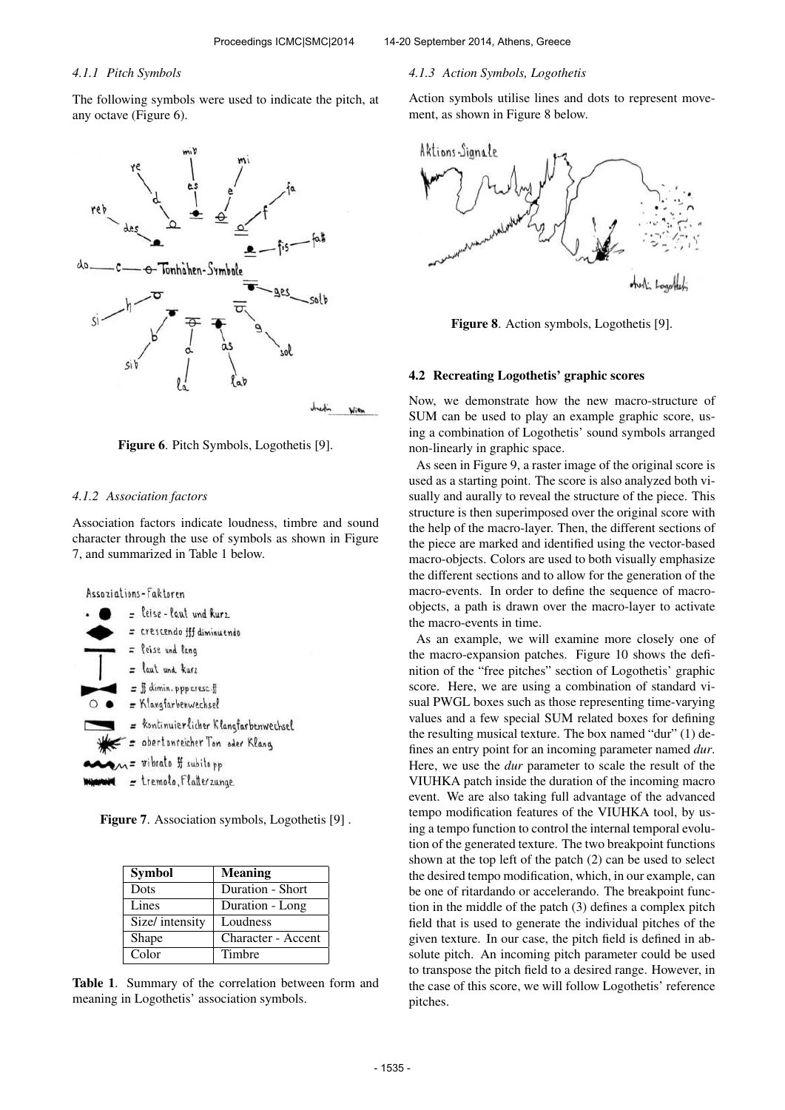## *4.1.1 Pitch Symbols*

The following symbols were used to indicate the pitch, at any octave (Figure 6).





#### *4.1.2 Association factors*

Association factors indicate loudness, timbre and sound character through the use of symbols as shown in Figure 7, and summarized in Table 1 below.



Figure 7. Association symbols, Logothetis [9] .

| <b>Symbol</b>   | <b>Meaning</b>     |
|-----------------|--------------------|
| Dots            | Duration - Short   |
| Lines           | Duration - Long    |
| Size/ intensity | Loudness           |
| Shape           | Character - Accent |
| Color           | Timbre             |

Table 1. Summary of the correlation between form and meaning in Logothetis' association symbols.

#### *4.1.3 Action Symbols, Logothetis*

Action symbols utilise lines and dots to represent movement, as shown in Figure 8 below.



Figure 8. Action symbols, Logothetis [9].

#### 4.2 Recreating Logothetis' graphic scores

Now, we demonstrate how the new macro-structure of SUM can be used to play an example graphic score, using a combination of Logothetis' sound symbols arranged non-linearly in graphic space.

As seen in Figure 9, a raster image of the original score is used as a starting point. The score is also analyzed both visually and aurally to reveal the structure of the piece. This structure is then superimposed over the original score with the help of the macro-layer. Then, the different sections of the piece are marked and identified using the vector-based macro-objects. Colors are used to both visually emphasize the different sections and to allow for the generation of the macro-events. In order to define the sequence of macroobjects, a path is drawn over the macro-layer to activate the macro-events in time.

As an example, we will examine more closely one of the macro-expansion patches. Figure 10 shows the definition of the "free pitches" section of Logothetis' graphic score. Here, we are using a combination of standard visual PWGL boxes such as those representing time-varying values and a few special SUM related boxes for defining the resulting musical texture. The box named "dur" (1) defines an entry point for an incoming parameter named *dur*. Here, we use the *dur* parameter to scale the result of the VIUHKA patch inside the duration of the incoming macro event. We are also taking full advantage of the advanced tempo modification features of the VIUHKA tool, by using a tempo function to control the internal temporal evolution of the generated texture. The two breakpoint functions shown at the top left of the patch (2) can be used to select the desired tempo modification, which, in our example, can be one of ritardando or accelerando. The breakpoint function in the middle of the patch (3) defines a complex pitch field that is used to generate the individual pitches of the given texture. In our case, the pitch field is defined in absolute pitch. An incoming pitch parameter could be used to transpose the pitch field to a desired range. However, in the case of this score, we will follow Logothetis' reference pitches.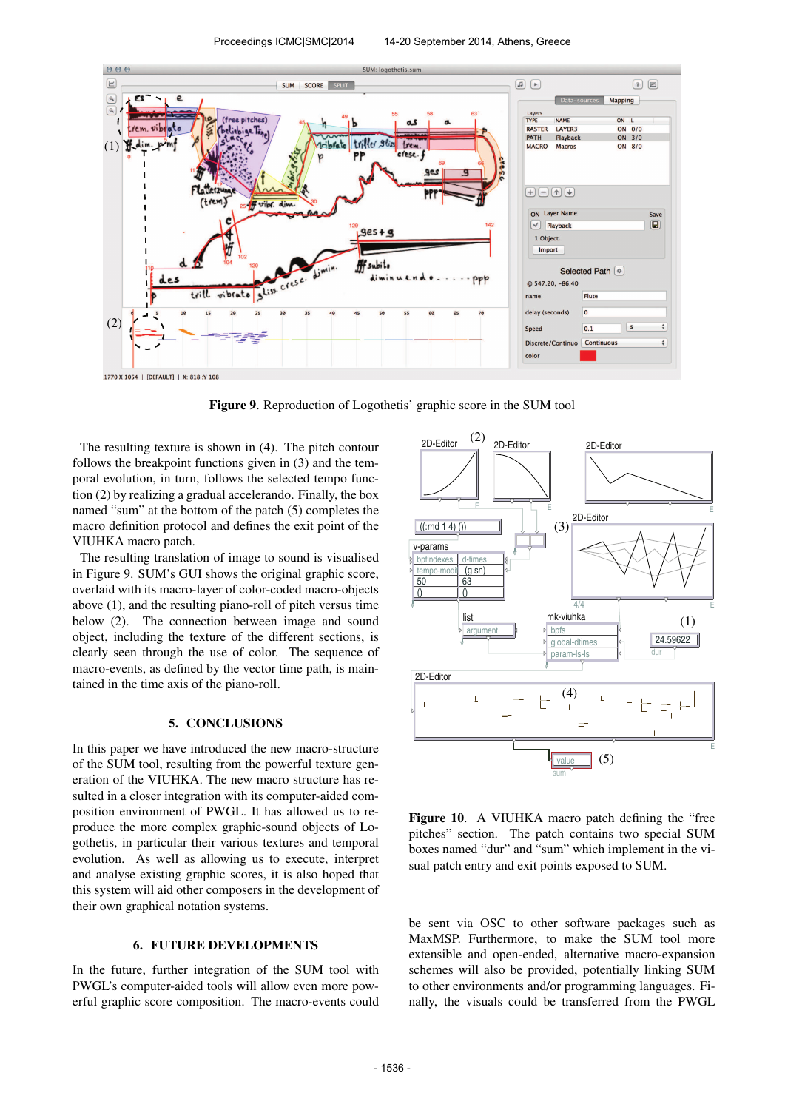

Figure 9. Reproduction of Logothetis' graphic score in the SUM tool

The resulting texture is shown in (4). The pitch contour follows the breakpoint functions given in (3) and the temporal evolution, in turn, follows the selected tempo function (2) by realizing a gradual accelerando. Finally, the box named "sum" at the bottom of the patch (5) completes the macro definition protocol and defines the exit point of the VIUHKA macro patch.

The resulting translation of image to sound is visualised in Figure 9. SUM's GUI shows the original graphic score, overlaid with its macro-layer of color-coded macro-objects above (1), and the resulting piano-roll of pitch versus time below (2). The connection between image and sound object, including the texture of the different sections, is clearly seen through the use of color. The sequence of macro-events, as defined by the vector time path, is maintained in the time axis of the piano-roll.

#### 5. CONCLUSIONS

In this paper we have introduced the new macro-structure of the SUM tool, resulting from the powerful texture generation of the VIUHKA. The new macro structure has resulted in a closer integration with its computer-aided composition environment of PWGL. It has allowed us to reproduce the more complex graphic-sound objects of Logothetis, in particular their various textures and temporal evolution. As well as allowing us to execute, interpret and analyse existing graphic scores, it is also hoped that this system will aid other composers in the development of their own graphical notation systems.

## 6. FUTURE DEVELOPMENTS

In the future, further integration of the SUM tool with PWGL's computer-aided tools will allow even more powerful graphic score composition. The macro-events could



Figure 10. A VIUHKA macro patch defining the "free pitches" section. The patch contains two special SUM boxes named "dur" and "sum" which implement in the visual patch entry and exit points exposed to SUM.

be sent via OSC to other software packages such as MaxMSP. Furthermore, to make the SUM tool more extensible and open-ended, alternative macro-expansion schemes will also be provided, potentially linking SUM to other environments and/or programming languages. Finally, the visuals could be transferred from the PWGL